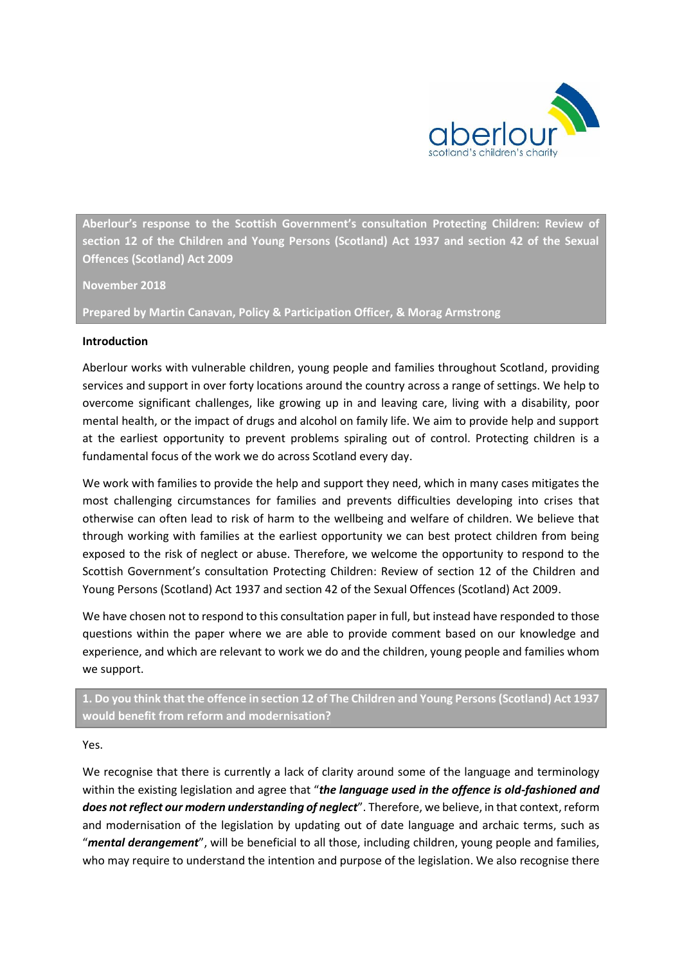

**Aberlour's response to the Scottish Government's consultation Protecting Children: Review of section 12 of the Children and Young Persons (Scotland) Act 1937 and section 42 of the Sexual Offences (Scotland) Act 2009**

#### **November 2018**

**Prepared by Martin Canavan, Policy & Participation Officer, & Morag Armstrong**

### **Introduction**

Aberlour works with vulnerable children, young people and families throughout Scotland, providing services and support in over forty locations around the country across a range of settings. We help to overcome significant challenges, like growing up in and leaving care, living with a disability, poor mental health, or the impact of drugs and alcohol on family life. We aim to provide help and support at the earliest opportunity to prevent problems spiraling out of control. Protecting children is a fundamental focus of the work we do across Scotland every day.

We work with families to provide the help and support they need, which in many cases mitigates the most challenging circumstances for families and prevents difficulties developing into crises that otherwise can often lead to risk of harm to the wellbeing and welfare of children. We believe that through working with families at the earliest opportunity we can best protect children from being exposed to the risk of neglect or abuse. Therefore, we welcome the opportunity to respond to the Scottish Government's consultation Protecting Children: Review of section 12 of the Children and Young Persons (Scotland) Act 1937 and section 42 of the Sexual Offences (Scotland) Act 2009.

We have chosen not to respond to this consultation paper in full, but instead have responded to those questions within the paper where we are able to provide comment based on our knowledge and experience, and which are relevant to work we do and the children, young people and families whom we support.

**1. Do you think that the offence in section 12 of The Children and Young Persons (Scotland) Act 1937 would benefit from reform and modernisation?**

### Yes.

We recognise that there is currently a lack of clarity around some of the language and terminology within the existing legislation and agree that "*the language used in the offence is old-fashioned and*  does not reflect our modern understanding of neglect". Therefore, we believe, in that context, reform and modernisation of the legislation by updating out of date language and archaic terms, such as "*mental derangement*", will be beneficial to all those, including children, young people and families, who may require to understand the intention and purpose of the legislation. We also recognise there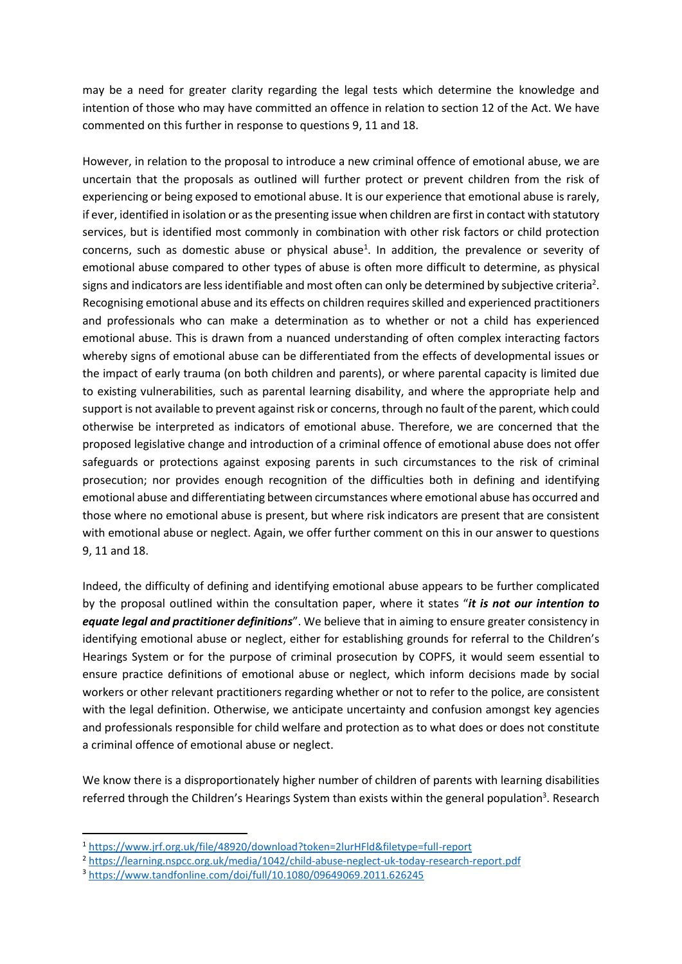may be a need for greater clarity regarding the legal tests which determine the knowledge and intention of those who may have committed an offence in relation to section 12 of the Act. We have commented on this further in response to questions 9, 11 and 18.

However, in relation to the proposal to introduce a new criminal offence of emotional abuse, we are uncertain that the proposals as outlined will further protect or prevent children from the risk of experiencing or being exposed to emotional abuse. It is our experience that emotional abuse is rarely, if ever, identified in isolation or as the presenting issue when children are first in contact with statutory services, but is identified most commonly in combination with other risk factors or child protection concerns, such as domestic abuse or physical abuse<sup>1</sup>. In addition, the prevalence or severity of emotional abuse compared to other types of abuse is often more difficult to determine, as physical signs and indicators are less identifiable and most often can only be determined by subjective criteria<sup>2</sup>. Recognising emotional abuse and its effects on children requires skilled and experienced practitioners and professionals who can make a determination as to whether or not a child has experienced emotional abuse. This is drawn from a nuanced understanding of often complex interacting factors whereby signs of emotional abuse can be differentiated from the effects of developmental issues or the impact of early trauma (on both children and parents), or where parental capacity is limited due to existing vulnerabilities, such as parental learning disability, and where the appropriate help and support is not available to prevent against risk or concerns, through no fault of the parent, which could otherwise be interpreted as indicators of emotional abuse. Therefore, we are concerned that the proposed legislative change and introduction of a criminal offence of emotional abuse does not offer safeguards or protections against exposing parents in such circumstances to the risk of criminal prosecution; nor provides enough recognition of the difficulties both in defining and identifying emotional abuse and differentiating between circumstances where emotional abuse has occurred and those where no emotional abuse is present, but where risk indicators are present that are consistent with emotional abuse or neglect. Again, we offer further comment on this in our answer to questions 9, 11 and 18.

Indeed, the difficulty of defining and identifying emotional abuse appears to be further complicated by the proposal outlined within the consultation paper, where it states "*it is not our intention to equate legal and practitioner definitions*". We believe that in aiming to ensure greater consistency in identifying emotional abuse or neglect, either for establishing grounds for referral to the Children's Hearings System or for the purpose of criminal prosecution by COPFS, it would seem essential to ensure practice definitions of emotional abuse or neglect, which inform decisions made by social workers or other relevant practitioners regarding whether or not to refer to the police, are consistent with the legal definition. Otherwise, we anticipate uncertainty and confusion amongst key agencies and professionals responsible for child welfare and protection as to what does or does not constitute a criminal offence of emotional abuse or neglect.

We know there is a disproportionately higher number of children of parents with learning disabilities referred through the Children's Hearings System than exists within the general population<sup>3</sup>. Research

**.** 

<sup>1</sup> <https://www.jrf.org.uk/file/48920/download?token=2lurHFld&filetype=full-report>

<sup>2</sup> <https://learning.nspcc.org.uk/media/1042/child-abuse-neglect-uk-today-research-report.pdf>

<sup>3</sup> <https://www.tandfonline.com/doi/full/10.1080/09649069.2011.626245>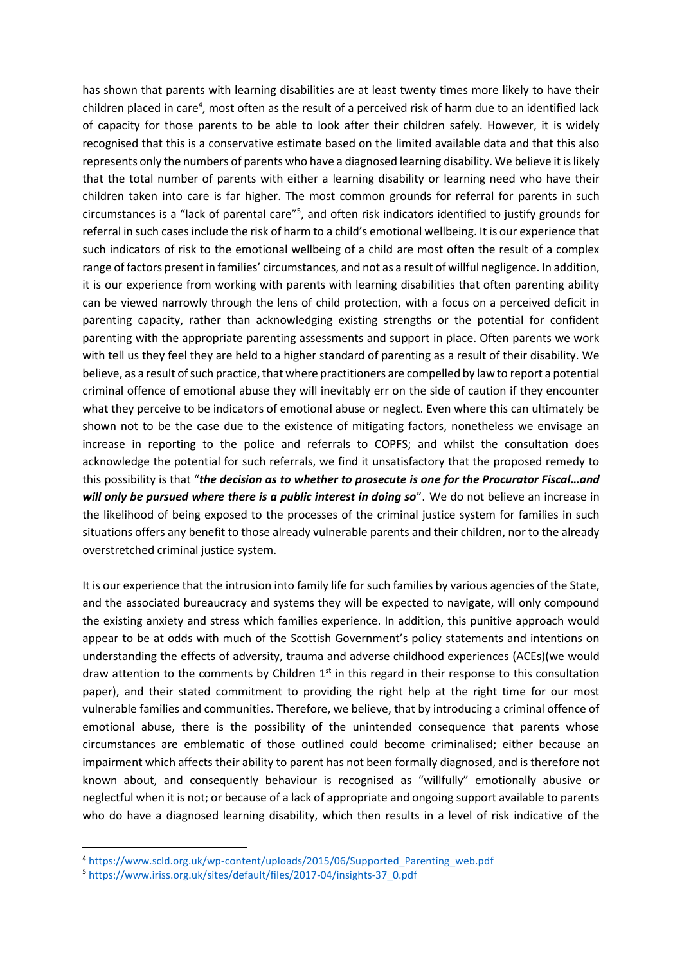has shown that parents with learning disabilities are at least twenty times more likely to have their children placed in care<sup>4</sup>, most often as the result of a perceived risk of harm due to an identified lack of capacity for those parents to be able to look after their children safely. However, it is widely recognised that this is a conservative estimate based on the limited available data and that this also represents only the numbers of parents who have a diagnosed learning disability. We believe it islikely that the total number of parents with either a learning disability or learning need who have their children taken into care is far higher. The most common grounds for referral for parents in such circumstances is a "lack of parental care"<sup>5</sup>, and often risk indicators identified to justify grounds for referral in such cases include the risk of harm to a child's emotional wellbeing. It is our experience that such indicators of risk to the emotional wellbeing of a child are most often the result of a complex range of factors present in families' circumstances, and not as a result of willful negligence. In addition, it is our experience from working with parents with learning disabilities that often parenting ability can be viewed narrowly through the lens of child protection, with a focus on a perceived deficit in parenting capacity, rather than acknowledging existing strengths or the potential for confident parenting with the appropriate parenting assessments and support in place. Often parents we work with tell us they feel they are held to a higher standard of parenting as a result of their disability. We believe, as a result of such practice, that where practitioners are compelled by law to report a potential criminal offence of emotional abuse they will inevitably err on the side of caution if they encounter what they perceive to be indicators of emotional abuse or neglect. Even where this can ultimately be shown not to be the case due to the existence of mitigating factors, nonetheless we envisage an increase in reporting to the police and referrals to COPFS; and whilst the consultation does acknowledge the potential for such referrals, we find it unsatisfactory that the proposed remedy to this possibility is that "*the decision as to whether to prosecute is one for the Procurator Fiscal…and will only be pursued where there is a public interest in doing so*". We do not believe an increase in the likelihood of being exposed to the processes of the criminal justice system for families in such situations offers any benefit to those already vulnerable parents and their children, nor to the already overstretched criminal justice system.

It is our experience that the intrusion into family life for such families by various agencies of the State, and the associated bureaucracy and systems they will be expected to navigate, will only compound the existing anxiety and stress which families experience. In addition, this punitive approach would appear to be at odds with much of the Scottish Government's policy statements and intentions on understanding the effects of adversity, trauma and adverse childhood experiences (ACEs)(we would draw attention to the comments by Children  $1<sup>st</sup>$  in this regard in their response to this consultation paper), and their stated commitment to providing the right help at the right time for our most vulnerable families and communities. Therefore, we believe, that by introducing a criminal offence of emotional abuse, there is the possibility of the unintended consequence that parents whose circumstances are emblematic of those outlined could become criminalised; either because an impairment which affects their ability to parent has not been formally diagnosed, and is therefore not known about, and consequently behaviour is recognised as "willfully" emotionally abusive or neglectful when it is not; or because of a lack of appropriate and ongoing support available to parents who do have a diagnosed learning disability, which then results in a level of risk indicative of the

1

<sup>4</sup> [https://www.scld.org.uk/wp-content/uploads/2015/06/Supported\\_Parenting\\_web.pdf](https://www.scld.org.uk/wp-content/uploads/2015/06/Supported_Parenting_web.pdf)

<sup>5</sup> [https://www.iriss.org.uk/sites/default/files/2017-04/insights-37\\_0.pdf](https://www.iriss.org.uk/sites/default/files/2017-04/insights-37_0.pdf)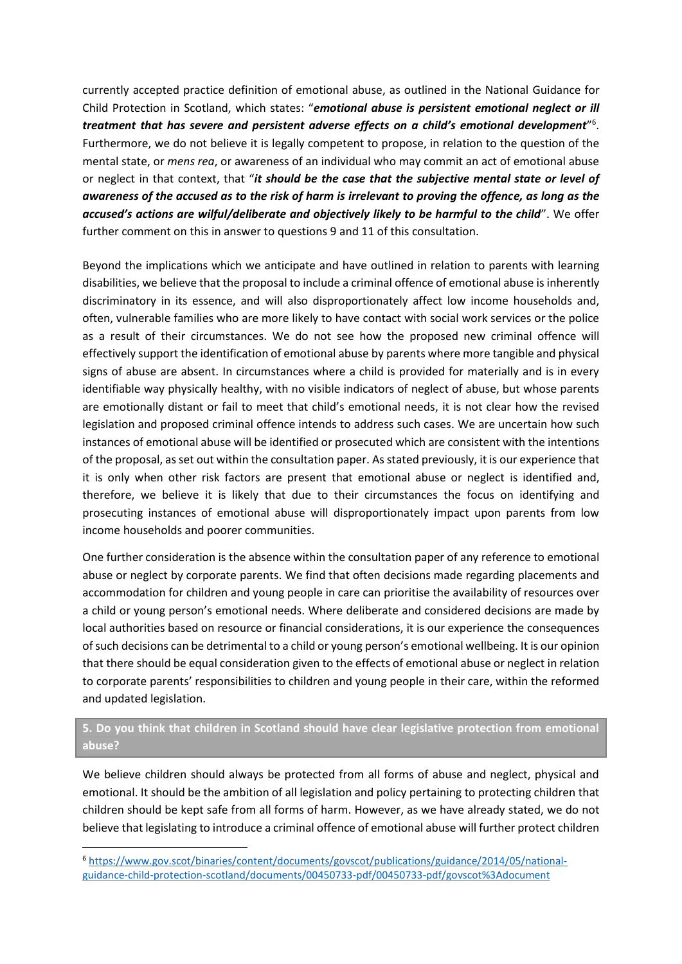currently accepted practice definition of emotional abuse, as outlined in the National Guidance for Child Protection in Scotland, which states: "*emotional abuse is persistent emotional neglect or ill treatment that has severe and persistent adverse effects on a child's emotional development*" 6 . Furthermore, we do not believe it is legally competent to propose, in relation to the question of the mental state, or *mens rea*, or awareness of an individual who may commit an act of emotional abuse or neglect in that context, that "*it should be the case that the subjective mental state or level of awareness of the accused as to the risk of harm is irrelevant to proving the offence, as long as the accused's actions are wilful/deliberate and objectively likely to be harmful to the child*". We offer further comment on this in answer to questions 9 and 11 of this consultation.

Beyond the implications which we anticipate and have outlined in relation to parents with learning disabilities, we believe that the proposal to include a criminal offence of emotional abuse is inherently discriminatory in its essence, and will also disproportionately affect low income households and, often, vulnerable families who are more likely to have contact with social work services or the police as a result of their circumstances. We do not see how the proposed new criminal offence will effectively support the identification of emotional abuse by parents where more tangible and physical signs of abuse are absent. In circumstances where a child is provided for materially and is in every identifiable way physically healthy, with no visible indicators of neglect of abuse, but whose parents are emotionally distant or fail to meet that child's emotional needs, it is not clear how the revised legislation and proposed criminal offence intends to address such cases. We are uncertain how such instances of emotional abuse will be identified or prosecuted which are consistent with the intentions of the proposal, as set out within the consultation paper. As stated previously, it is our experience that it is only when other risk factors are present that emotional abuse or neglect is identified and, therefore, we believe it is likely that due to their circumstances the focus on identifying and prosecuting instances of emotional abuse will disproportionately impact upon parents from low income households and poorer communities.

One further consideration is the absence within the consultation paper of any reference to emotional abuse or neglect by corporate parents. We find that often decisions made regarding placements and accommodation for children and young people in care can prioritise the availability of resources over a child or young person's emotional needs. Where deliberate and considered decisions are made by local authorities based on resource or financial considerations, it is our experience the consequences of such decisions can be detrimental to a child or young person's emotional wellbeing. It is our opinion that there should be equal consideration given to the effects of emotional abuse or neglect in relation to corporate parents' responsibilities to children and young people in their care, within the reformed and updated legislation.

# **5. Do you think that children in Scotland should have clear legislative protection from emotional abuse?**

We believe children should always be protected from all forms of abuse and neglect, physical and emotional. It should be the ambition of all legislation and policy pertaining to protecting children that children should be kept safe from all forms of harm. However, as we have already stated, we do not believe that legislating to introduce a criminal offence of emotional abuse will further protect children

1

<sup>6</sup> [https://www.gov.scot/binaries/content/documents/govscot/publications/guidance/2014/05/national](https://www.gov.scot/binaries/content/documents/govscot/publications/guidance/2014/05/national-guidance-child-protection-scotland/documents/00450733-pdf/00450733-pdf/govscot%3Adocument)[guidance-child-protection-scotland/documents/00450733-pdf/00450733-pdf/govscot%3Adocument](https://www.gov.scot/binaries/content/documents/govscot/publications/guidance/2014/05/national-guidance-child-protection-scotland/documents/00450733-pdf/00450733-pdf/govscot%3Adocument)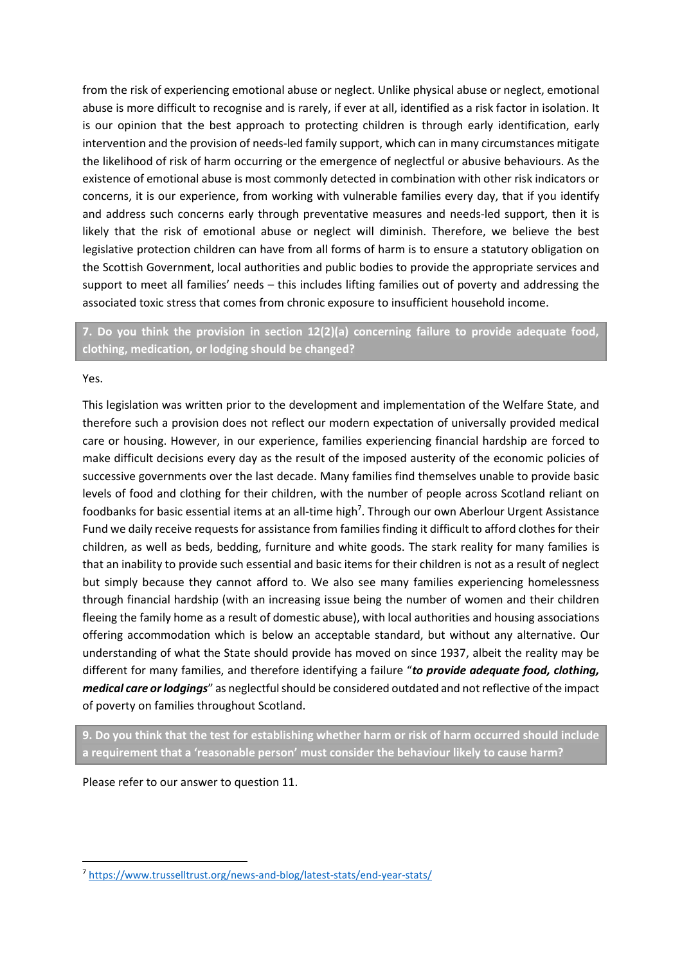from the risk of experiencing emotional abuse or neglect. Unlike physical abuse or neglect, emotional abuse is more difficult to recognise and is rarely, if ever at all, identified as a risk factor in isolation. It is our opinion that the best approach to protecting children is through early identification, early intervention and the provision of needs-led family support, which can in many circumstances mitigate the likelihood of risk of harm occurring or the emergence of neglectful or abusive behaviours. As the existence of emotional abuse is most commonly detected in combination with other risk indicators or concerns, it is our experience, from working with vulnerable families every day, that if you identify and address such concerns early through preventative measures and needs-led support, then it is likely that the risk of emotional abuse or neglect will diminish. Therefore, we believe the best legislative protection children can have from all forms of harm is to ensure a statutory obligation on the Scottish Government, local authorities and public bodies to provide the appropriate services and support to meet all families' needs – this includes lifting families out of poverty and addressing the associated toxic stress that comes from chronic exposure to insufficient household income.

**7. Do you think the provision in section 12(2)(a) concerning failure to provide adequate food, clothing, medication, or lodging should be changed?**

Yes.

**.** 

This legislation was written prior to the development and implementation of the Welfare State, and therefore such a provision does not reflect our modern expectation of universally provided medical care or housing. However, in our experience, families experiencing financial hardship are forced to make difficult decisions every day as the result of the imposed austerity of the economic policies of successive governments over the last decade. Many families find themselves unable to provide basic levels of food and clothing for their children, with the number of people across Scotland reliant on foodbanks for basic essential items at an all-time high<sup>7</sup>. Through our own Aberlour Urgent Assistance Fund we daily receive requests for assistance from families finding it difficult to afford clothes for their children, as well as beds, bedding, furniture and white goods. The stark reality for many families is that an inability to provide such essential and basic items for their children is not as a result of neglect but simply because they cannot afford to. We also see many families experiencing homelessness through financial hardship (with an increasing issue being the number of women and their children fleeing the family home as a result of domestic abuse), with local authorities and housing associations offering accommodation which is below an acceptable standard, but without any alternative. Our understanding of what the State should provide has moved on since 1937, albeit the reality may be different for many families, and therefore identifying a failure "*to provide adequate food, clothing, medical care or lodgings*" as neglectful should be considered outdated and not reflective of the impact of poverty on families throughout Scotland.

**9. Do you think that the test for establishing whether harm or risk of harm occurred should include a requirement that a 'reasonable person' must consider the behaviour likely to cause harm?**

Please refer to our answer to question 11.

<sup>7</sup> <https://www.trusselltrust.org/news-and-blog/latest-stats/end-year-stats/>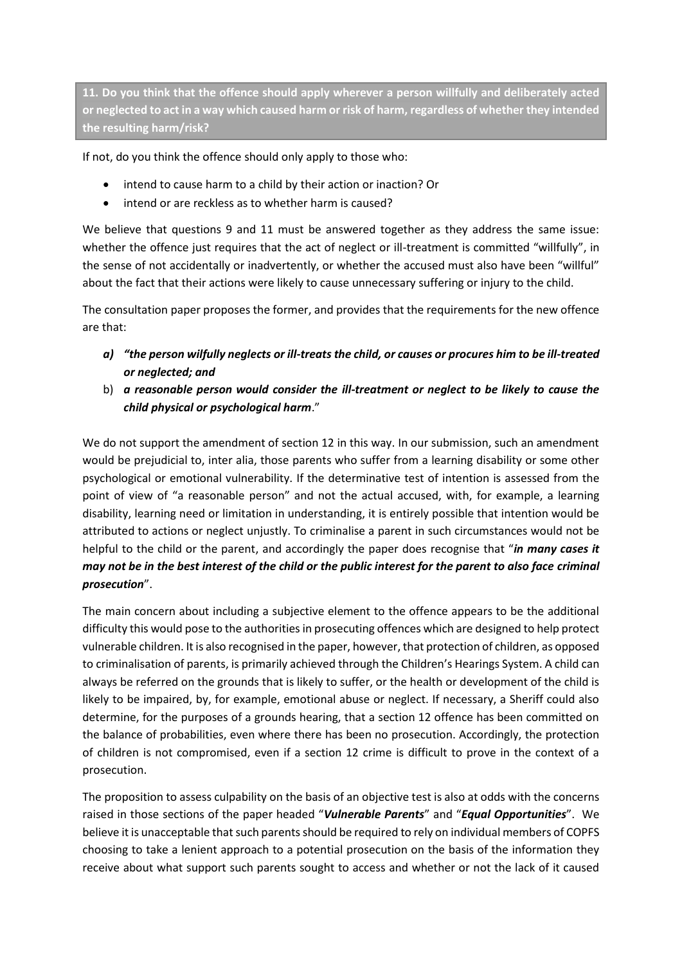**11. Do you think that the offence should apply wherever a person willfully and deliberately acted or neglected to act in a way which caused harm or risk of harm, regardless of whether they intended the resulting harm/risk?**

If not, do you think the offence should only apply to those who:

- intend to cause harm to a child by their action or inaction? Or
- intend or are reckless as to whether harm is caused?

We believe that questions 9 and 11 must be answered together as they address the same issue: whether the offence just requires that the act of neglect or ill-treatment is committed "willfully", in the sense of not accidentally or inadvertently, or whether the accused must also have been "willful" about the fact that their actions were likely to cause unnecessary suffering or injury to the child.

The consultation paper proposes the former, and provides that the requirements for the new offence are that:

- *a) "the person wilfully neglects or ill-treats the child, or causes or procures him to be ill-treated or neglected; and*
- b) *a reasonable person would consider the ill-treatment or neglect to be likely to cause the child physical or psychological harm*."

We do not support the amendment of section 12 in this way. In our submission, such an amendment would be prejudicial to, inter alia, those parents who suffer from a learning disability or some other psychological or emotional vulnerability. If the determinative test of intention is assessed from the point of view of "a reasonable person" and not the actual accused, with, for example, a learning disability, learning need or limitation in understanding, it is entirely possible that intention would be attributed to actions or neglect unjustly. To criminalise a parent in such circumstances would not be helpful to the child or the parent, and accordingly the paper does recognise that "*in many cases it may not be in the best interest of the child or the public interest for the parent to also face criminal prosecution*".

The main concern about including a subjective element to the offence appears to be the additional difficulty this would pose to the authorities in prosecuting offences which are designed to help protect vulnerable children. It is also recognised in the paper, however, that protection of children, as opposed to criminalisation of parents, is primarily achieved through the Children's Hearings System. A child can always be referred on the grounds that is likely to suffer, or the health or development of the child is likely to be impaired, by, for example, emotional abuse or neglect. If necessary, a Sheriff could also determine, for the purposes of a grounds hearing, that a section 12 offence has been committed on the balance of probabilities, even where there has been no prosecution. Accordingly, the protection of children is not compromised, even if a section 12 crime is difficult to prove in the context of a prosecution.

The proposition to assess culpability on the basis of an objective test is also at odds with the concerns raised in those sections of the paper headed "*Vulnerable Parents*" and "*Equal Opportunities*". We believe it is unacceptable that such parents should be required to rely on individual members of COPFS choosing to take a lenient approach to a potential prosecution on the basis of the information they receive about what support such parents sought to access and whether or not the lack of it caused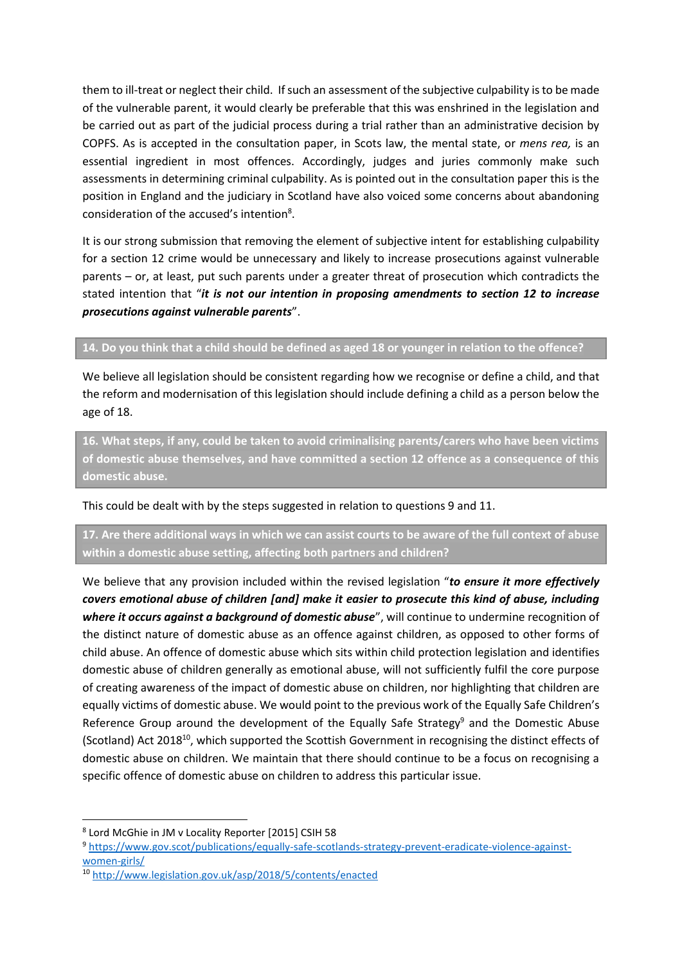them to ill-treat or neglect their child. If such an assessment of the subjective culpability is to be made of the vulnerable parent, it would clearly be preferable that this was enshrined in the legislation and be carried out as part of the judicial process during a trial rather than an administrative decision by COPFS. As is accepted in the consultation paper, in Scots law, the mental state, or *mens rea,* is an essential ingredient in most offences. Accordingly, judges and juries commonly make such assessments in determining criminal culpability. As is pointed out in the consultation paper this is the position in England and the judiciary in Scotland have also voiced some concerns about abandoning consideration of the accused's intention<sup>8</sup>.

It is our strong submission that removing the element of subjective intent for establishing culpability for a section 12 crime would be unnecessary and likely to increase prosecutions against vulnerable parents – or, at least, put such parents under a greater threat of prosecution which contradicts the stated intention that "*it is not our intention in proposing amendments to section 12 to increase prosecutions against vulnerable parents*".

## **14. Do you think that a child should be defined as aged 18 or younger in relation to the offence?**

We believe all legislation should be consistent regarding how we recognise or define a child, and that the reform and modernisation of this legislation should include defining a child as a person below the age of 18.

**16. What steps, if any, could be taken to avoid criminalising parents/carers who have been victims of domestic abuse themselves, and have committed a section 12 offence as a consequence of this domestic abuse.**

This could be dealt with by the steps suggested in relation to questions 9 and 11.

**17. Are there additional ways in which we can assist courts to be aware of the full context of abuse within a domestic abuse setting, affecting both partners and children?**

We believe that any provision included within the revised legislation "*to ensure it more effectively covers emotional abuse of children [and] make it easier to prosecute this kind of abuse, including where it occurs against a background of domestic abuse*", will continue to undermine recognition of the distinct nature of domestic abuse as an offence against children, as opposed to other forms of child abuse. An offence of domestic abuse which sits within child protection legislation and identifies domestic abuse of children generally as emotional abuse, will not sufficiently fulfil the core purpose of creating awareness of the impact of domestic abuse on children, nor highlighting that children are equally victims of domestic abuse. We would point to the previous work of the Equally Safe Children's Reference Group around the development of the Equally Safe Strategy<sup>9</sup> and the Domestic Abuse (Scotland) Act 2018<sup>10</sup>, which supported the Scottish Government in recognising the distinct effects of domestic abuse on children. We maintain that there should continue to be a focus on recognising a specific offence of domestic abuse on children to address this particular issue.

1

<sup>8</sup> Lord McGhie in JM v Locality Reporter [2015] CSIH 58

<sup>9</sup> [https://www.gov.scot/publications/equally-safe-scotlands-strategy-prevent-eradicate-violence-against](https://www.gov.scot/publications/equally-safe-scotlands-strategy-prevent-eradicate-violence-against-women-girls/)[women-girls/](https://www.gov.scot/publications/equally-safe-scotlands-strategy-prevent-eradicate-violence-against-women-girls/)

<sup>10</sup> <http://www.legislation.gov.uk/asp/2018/5/contents/enacted>